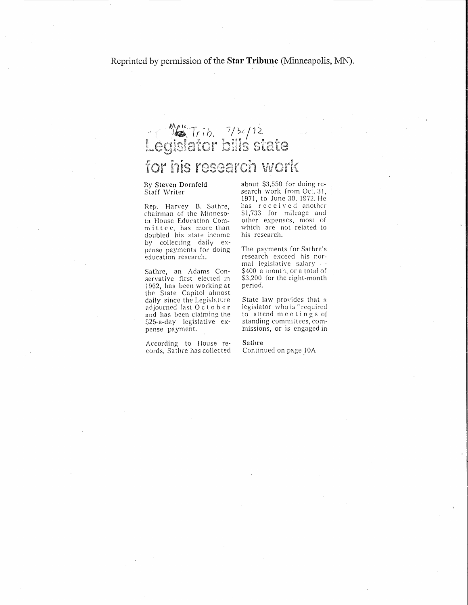## Legislator bills state for his research work

## Bv Steven Dornfeld Staff \Vriter

Rep. Harvey B. Sathre, chairman of the Minnesota House Education Commit tee, has more than doubled his state income by collecting daily expense payments for doing education research.

Sathre, an Adams Conservative first elected in 1962, has been working at the State Capitol almost daily since the Legislature adjourned last October and has been claiming the \$25-a-day legislative expense payment.

According to House records, Sathre has collected about \$3,550 for doing research work from Oct. 31, 1971, to June 30, 1972. He has received another \$1,733 for mileage and other expenses, most of which are not related to his research.

The payments for Sathre's research exceed his normal legislative salary  $-$ \$400 a month, or a total of \$3,200 for the eight-month period.

State law provides that a legislator who is "required to attend <sup>m</sup> <sup>c</sup> <sup>e</sup> tin <sup>g</sup> <sup>s</sup> of standing committees, commissions, or is engaged in

Sathre Continued on page 10A